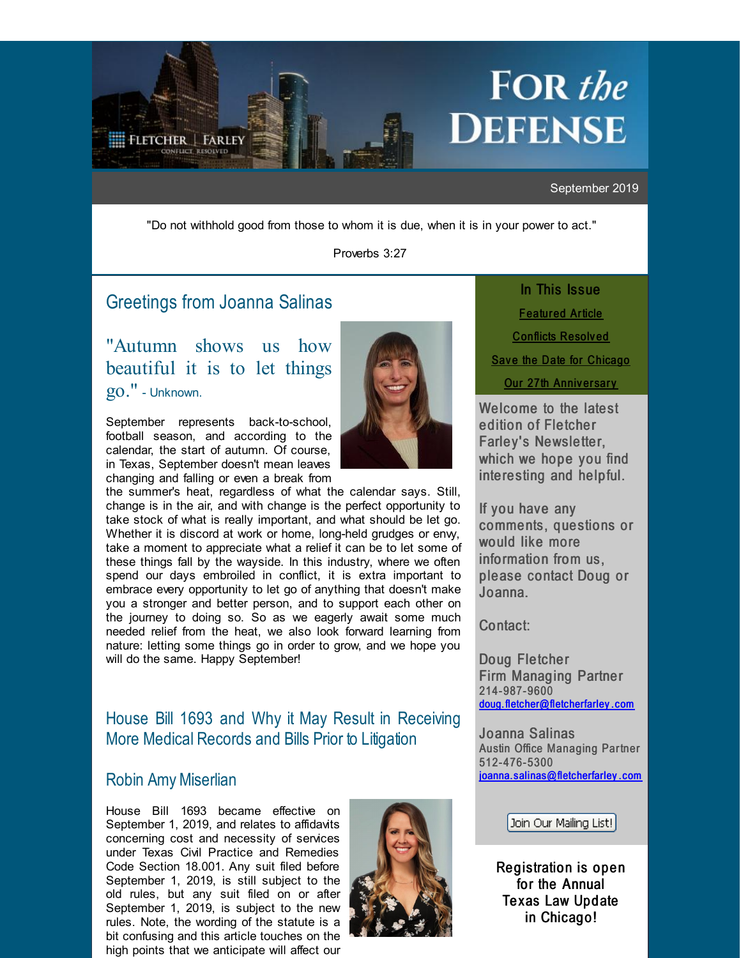<span id="page-0-0"></span>

September 2019

"Do not withhold good from those to whom it is due, when it is in your power to act."

Proverbs 3:27

# Greetings from [Joanna](http://r20.rs6.net/tn.jsp?f=001f8A-N0KA-5tEC-RyrbXJH72KI3KrB_lS5AF3rwA__aC59VFvja6U5o0y3B502S-MEaUxj8krpvpBJxa8QBStNm3HoYFNxv4Ti7dU6URAj8Dy92X5OSfn9CEjQID1FBVQ3n7NARc8P20s3qqYXN6L4jktebKTCDZWr4H9u7zZZdDzAjFLmw-CkIY0T6So6_-G8lI1R37q7p_Q9RXQwYSsoQ==&c=&ch=) Salinas

"Autumn shows us how beautiful it is to let things go." - Unknown.

September represents back-to-school, football season, and according to the calendar, the start of autumn. Of course, in Texas, September doesn't mean leaves changing and falling or even a break from



the summer's heat, regardless of what the calendar says. Still, change is in the air, and with change is the perfect opportunity to take stock of what is really important, and what should be let go. Whether it is discord at work or home, long-held grudges or envy, take a moment to appreciate what a relief it can be to let some of these things fall by the wayside. In this industry, where we often spend our days embroiled in conflict, it is extra important to embrace every opportunity to let go of anything that doesn't make you a stronger and better person, and to support each other on the journey to doing so. So as we eagerly await some much needed relief from the heat, we also look forward learning from nature: letting some things go in order to grow, and we hope you will do the same. Happy September!

# House Bill 1693 and Why it May Result in Receiving More Medical Records and Bills Prior to Litigation

## Robin Amy [Miserlian](http://r20.rs6.net/tn.jsp?f=001f8A-N0KA-5tEC-RyrbXJH72KI3KrB_lS5AF3rwA__aC59VFvja6U5vr0C92JPpMC9JoITEpXppkLsOXDMln8nRCrzLdg5I3yNhUP6GwlWs4T61o2EhhdNV2KpE7JRTQpiR18bijg0RurMeAnXhe6nasCpF0j5qgoytnldpgJCiPc7Xy8RpRekj2K07cbAnDZGK4jSR8uYcJ8Jz-SBVLIn-j0oH7QCeGy&c=&ch=)

House Bill 1693 became effective on September 1, 2019, and relates to affidavits concerning cost and necessity of services under Texas Civil Practice and Remedies Code Section 18.001. Any suit filed before September 1, 2019, is still subject to the old rules, but any suit filed on or after September 1, 2019, is subject to the new rules. Note, the wording of the statute is a bit confusing and this article touches on the high points that we anticipate will affect our



In This Issue **[Featur](#page-0-0)ed Article** [Conflicts](#page-0-0) Resolved Save the Date for [Chicago](#page-0-0) Our 27th [Anniv](#page-0-0)ersary

Welcome to the latest edition of Fletcher Farley's Newsletter, which we hope you find interesting and helpful.

If you have any comments, questions or would like more information from us, please contact Doug or Joanna.

Contact:

Doug Fletcher Firm Managing Partner 214-987-9600 [doug.fletcher@fletcherfarley](mailto:doug.fletcher@fletcherfarley.com) . com

Joanna Salinas Austin Office Managing Partner 512- 476- 5300 joanna. [salinas@fletcherfarley](mailto:joanna.salinas@fletcherfarley.com) . com

Join Our Mailing List!

Registration is open for the Annual Texas Law Update in Chicago!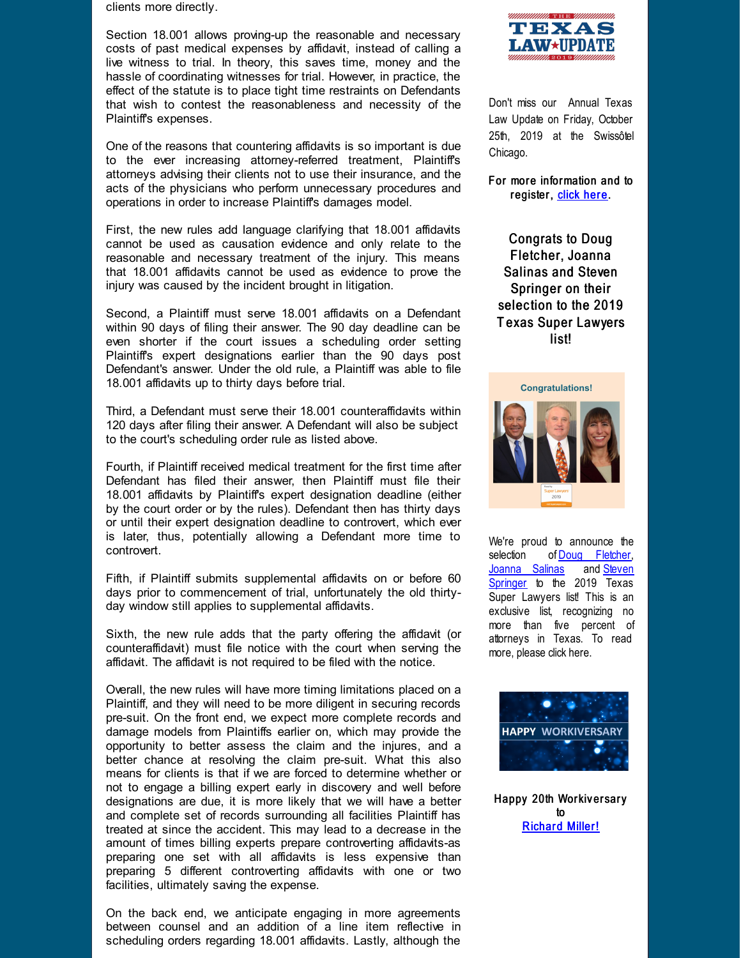clients more directly.

Section 18.001 allows proving-up the reasonable and necessary costs of past medical expenses by affidavit, instead of calling a live witness to trial. In theory, this saves time, money and the hassle of coordinating witnesses for trial. However, in practice, the effect of the statute is to place tight time restraints on Defendants that wish to contest the reasonableness and necessity of the Plaintiff's expenses.

One of the reasons that countering affidavits is so important is due to the ever increasing attorney-referred treatment, Plaintiff's attorneys advising their clients not to use their insurance, and the acts of the physicians who perform unnecessary procedures and operations in order to increase Plaintiff's damages model.

First, the new rules add language clarifying that 18.001 affidavits cannot be used as causation evidence and only relate to the reasonable and necessary treatment of the injury. This means that 18.001 affidavits cannot be used as evidence to prove the injury was caused by the incident brought in litigation.

Second, a Plaintiff must serve 18.001 affidavits on a Defendant within 90 days of filing their answer. The 90 day deadline can be even shorter if the court issues a scheduling order setting Plaintiff's expert designations earlier than the 90 days post Defendant's answer. Under the old rule, a Plaintiff was able to file 18.001 affidavits up to thirty days before trial.

Third, a Defendant must serve their 18.001 counteraffidavits within 120 days after filing their answer. A Defendant will also be subject to the court's scheduling order rule as listed above.

Fourth, if Plaintiff received medical treatment for the first time after Defendant has filed their answer, then Plaintiff must file their 18.001 affidavits by Plaintiff's expert designation deadline (either by the court order or by the rules). Defendant then has thirty days or until their expert designation deadline to controvert, which ever is later, thus, potentially allowing a Defendant more time to controvert.

Fifth, if Plaintiff submits supplemental affidavits on or before 60 days prior to commencement of trial, unfortunately the old thirtyday window still applies to supplemental affidavits.

Sixth, the new rule adds that the party offering the affidavit (or counteraffidavit) must file notice with the court when serving the affidavit. The affidavit is not required to be filed with the notice.

Overall, the new rules will have more timing limitations placed on a Plaintiff, and they will need to be more diligent in securing records pre-suit. On the front end, we expect more complete records and damage models from Plaintiffs earlier on, which may provide the opportunity to better assess the claim and the injures, and a better chance at resolving the claim pre-suit. What this also means for clients is that if we are forced to determine whether or not to engage a billing expert early in discovery and well before designations are due, it is more likely that we will have a better and complete set of records surrounding all facilities Plaintiff has treated at since the accident. This may lead to a decrease in the amount of times billing experts prepare controverting affidavits-as preparing one set with all affidavits is less expensive than preparing 5 different controverting affidavits with one or two facilities, ultimately saving the expense.

On the back end, we anticipate engaging in more agreements between counsel and an addition of a line item reflective in scheduling orders regarding 18.001 affidavits. Lastly, although the



Don't miss our Annual Texas Law Update on Friday, October 25th, 2019 at the Swissôtel Chicago.

For more information and to register, [click](http://r20.rs6.net/tn.jsp?f=001f8A-N0KA-5tEC-RyrbXJH72KI3KrB_lS5AF3rwA__aC59VFvja6U5mjKvwRA57QGW9vxCWwve5YYGLf463TehwgmM7iyJuCaYwinSqJ8ai-vi7pqZbUhEWI3dgMsjfEYS0jzhw4Tfsq72z3hGwr8b8KS1wSsXgi3oGD_SblM2ulEQR1dkX1tDN2lgTk870szrmnp_7JboSU-ZtV2W95gUxaT5RysgvMls-V57R0i-CaAxdDFrzmo7vpbvNIF1gYG&c=&ch=) here.

Congrats to Doug Fletcher, Joanna Salinas and Steven Springer on their selection to the 2019 T exas Super Lawyers list!



We're proud to announce the selection of Doug [Fletcher](http://r20.rs6.net/tn.jsp?f=001f8A-N0KA-5tEC-RyrbXJH72KI3KrB_lS5AF3rwA__aC59VFvja6U5vr0C92JPpMC0uU2Miv8LYLq0AxqZfo-mlqj3QpSNf7zQrDvBHBym4d_pmLip0B_u6mVVzfCgkQrZyXp8HuZOr2yUMQge-kWAwR8siul9tHerB--lDfWzo_5oyLX6R1o79NDqMx-JgNdutUbgtm8OeQHmg4rnGzqng==&c=&ch=),<br>Joanna Salinas and Steven [Joanna](http://r20.rs6.net/tn.jsp?f=001f8A-N0KA-5tEC-RyrbXJH72KI3KrB_lS5AF3rwA__aC59VFvja6U5o0y3B502S-MEaUxj8krpvpBJxa8QBStNm3HoYFNxv4Ti7dU6URAj8Dy92X5OSfn9CEjQID1FBVQ3n7NARc8P20s3qqYXN6L4jktebKTCDZWr4H9u7zZZdDzAjFLmw-CkIY0T6So6_-G8lI1R37q7p_Q9RXQwYSsoQ==&c=&ch=) Salinas [Springer](http://r20.rs6.net/tn.jsp?f=001f8A-N0KA-5tEC-RyrbXJH72KI3KrB_lS5AF3rwA__aC59VFvja6U5lIDTid2wC9vWn4ZXHu-VFFTb7TWHfovkS42WZVwX_BTQmb-emVTFS00OWJ4Tmp15bbkmQz7O-vsCHT2SwzyO-dFieFxmJDD2PtCKzWYSFxnOcqNCRMEVEuEj6vxSY-DOV9daeODCIM-laiyydJEs6lMzI1WAtjSUA==&c=&ch=) to the 2019 Texas Super Lawyers list! This is an exclusive list, recognizing no more than five percent of attorneys in Texas. To read more, please click here.



Happy 20th Workiversary to **[Richar](http://r20.rs6.net/tn.jsp?f=001f8A-N0KA-5tEC-RyrbXJH72KI3KrB_lS5AF3rwA__aC59VFvja6U5p0zLU6_6AdEBXfBvWxc-zpW9smPXARdGOAbTWYe2ditauPA5Q141cGMxsAl9Quo5AZtQd2pXPH2uSoYt9W29fdMS_58oTNNDFYFqjPeY6WXmtMWFBrmYC6D0EyYwPs6icXuvjwsvEjVUWDnYQAt1a3x2kcCpuLTgw==&c=&ch=)d Miller!**